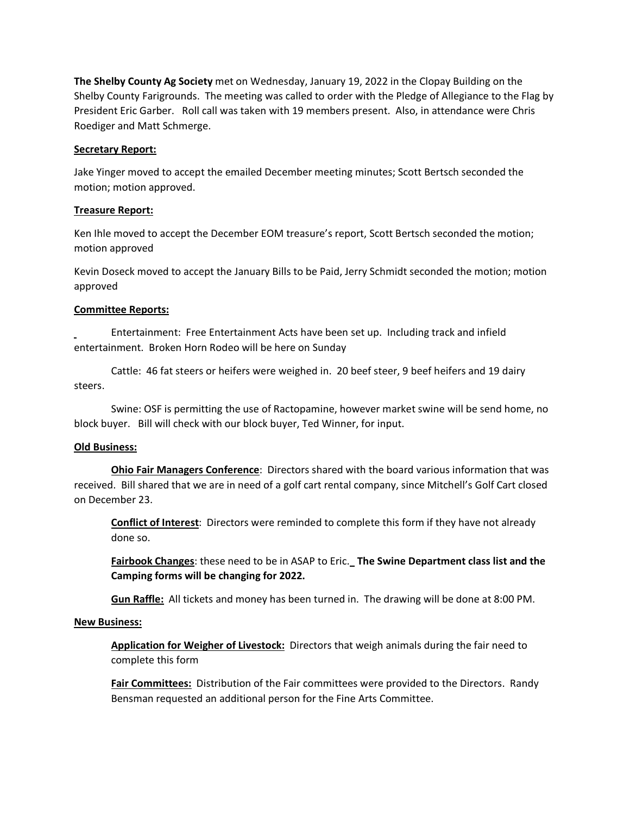**The Shelby County Ag Society** met on Wednesday, January 19, 2022 in the Clopay Building on the Shelby County Farigrounds. The meeting was called to order with the Pledge of Allegiance to the Flag by President Eric Garber. Roll call was taken with 19 members present. Also, in attendance were Chris Roediger and Matt Schmerge.

### **Secretary Report:**

Jake Yinger moved to accept the emailed December meeting minutes; Scott Bertsch seconded the motion; motion approved.

# **Treasure Report:**

Ken Ihle moved to accept the December EOM treasure's report, Scott Bertsch seconded the motion; motion approved

Kevin Doseck moved to accept the January Bills to be Paid, Jerry Schmidt seconded the motion; motion approved

### **Committee Reports:**

Entertainment: Free Entertainment Acts have been set up. Including track and infield entertainment. Broken Horn Rodeo will be here on Sunday

Cattle: 46 fat steers or heifers were weighed in. 20 beef steer, 9 beef heifers and 19 dairy steers.

Swine: OSF is permitting the use of Ractopamine, however market swine will be send home, no block buyer. Bill will check with our block buyer, Ted Winner, for input.

# **Old Business:**

**Ohio Fair Managers Conference**: Directors shared with the board various information that was received. Bill shared that we are in need of a golf cart rental company, since Mitchell's Golf Cart closed on December 23.

**Conflict of Interest**: Directors were reminded to complete this form if they have not already done so.

**Fairbook Changes**: these need to be in ASAP to Eric. **The Swine Department class list and the Camping forms will be changing for 2022.**

**Gun Raffle:** All tickets and money has been turned in. The drawing will be done at 8:00 PM.

# **New Business:**

**Application for Weigher of Livestock:** Directors that weigh animals during the fair need to complete this form

**Fair Committees:** Distribution of the Fair committees were provided to the Directors. Randy Bensman requested an additional person for the Fine Arts Committee.